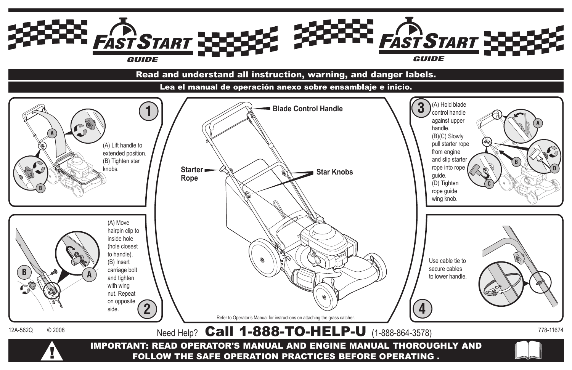

# Read and understand all instruction, warning, and danger labels.

Lea el manual de operación anexo sobre ensamblaje e inicio.